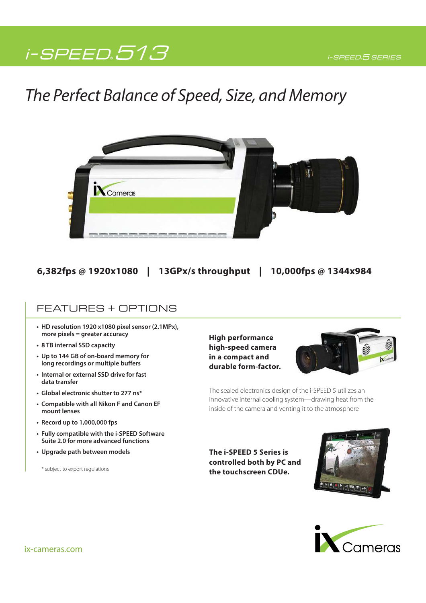# $i$  - SPEED  $513$   $\sim$   $i$  speed 5 series

# The Perfect Balance of Speed, Size, and Memory



## **6,382fps @ 1920x1080 | 13GPx/s throughput | 10,000fps @ 1344x984**

### FEATURES + OPTIONS

- **HD resolution 1920 x1080 pixel sensor (2.1MPx), more pixels = greater accuracy**
- **8 TB internal SSD capacity**
- **Up to 144 GB of on-board memory for long recordings or multiple buffers**
- **Internal or external SSD drive for fast data transfer**
- **Global electronic shutter to 277 ns\***
- **Compatible with all Nikon F and Canon EF mount lenses**
- **Record up to 1,000,000 fps**
- **Fully compatible with the i-SPEED Software Suite 2.0 for more advanced functions**
- **Upgrade path between models**

\* subject to export regulations

**High performance high-speed camera in a compact and durable form-factor.**



The sealed electronics design of the i-SPEED 5 utilizes an innovative internal cooling system—drawing heat from the inside of the camera and venting it to the atmosphere

**The i-SPEED 5 Series is controlled both by PC and the touchscreen CDUe.**